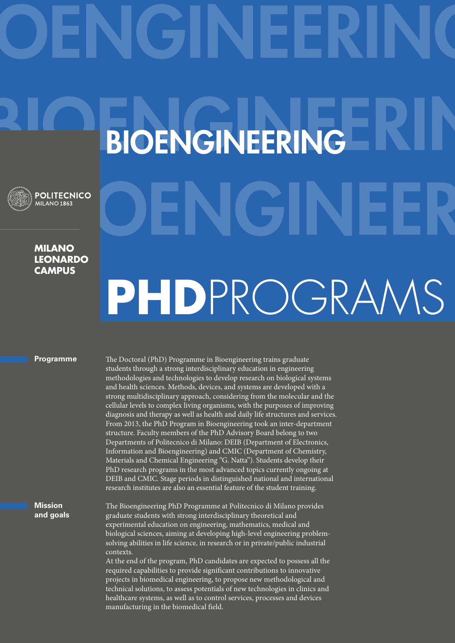## BIOENGINEERING **POLITECNICO** MILANO<sub>1863</sub> **Milano leonardo campus** PHDPROGRAMS

## **Programme**

**Mission and goals** The Doctoral (PhD) Programme in Bioengineering trains graduate students through a strong interdisciplinary education in engineering methodologies and technologies to develop research on biological systems and health sciences. Methods, devices, and systems are developed with a strong multidisciplinary approach, considering from the molecular and the cellular levels to complex living organisms, with the purposes of improving diagnosis and therapy as well as health and daily life structures and services. From 2013, the PhD Program in Bioengineering took an inter-department structure. Faculty members of the PhD Advisory Board belong to two Departments of Politecnico di Milano: DEIB (Department of Electronics, Information and Bioengineering) and CMIC (Department of Chemistry, Materials and Chemical Engineering "G. Natta"). Students develop their PhD research programs in the most advanced topics currently ongoing at DEIB and CMIC. Stage periods in distinguished national and international research institutes are also an essential feature of the student training.

The Bioengineering PhD Programme at Politecnico di Milano provides graduate students with strong interdisciplinary theoretical and experimental education on engineering, mathematics, medical and biological sciences, aiming at developing high-level engineering problemsolving abilities in life science, in research or in private/public industrial contexts.

At the end of the program, PhD candidates are expected to possess all the required capabilities to provide significant contributions to innovative projects in biomedical engineering, to propose new methodological and technical solutions, to assess potentials of new technologies in clinics and healthcare systems, as well as to control services, processes and devices manufacturing in the biomedical field.